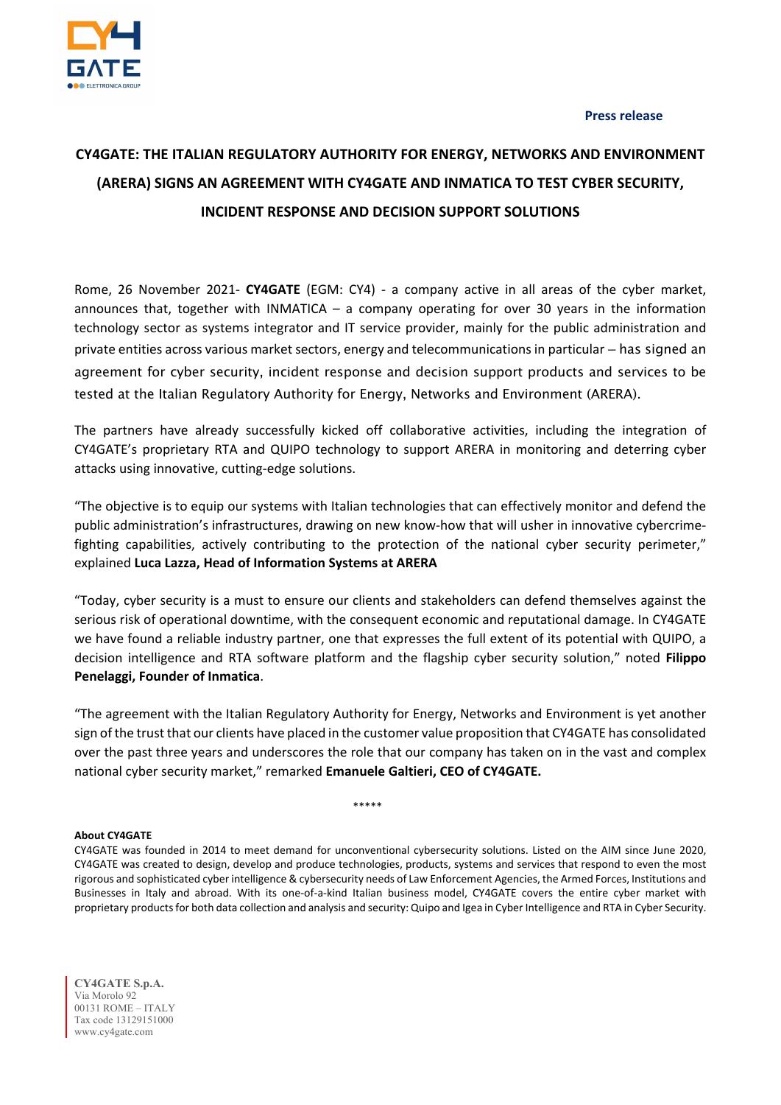

**Press release**

## **CY4GATE: THE ITALIAN REGULATORY AUTHORITY FOR ENERGY, NETWORKS AND ENVIRONMENT (ARERA) SIGNS AN AGREEMENT WITH CY4GATE AND INMATICA TO TEST CYBER SECURITY, INCIDENT RESPONSE AND DECISION SUPPORT SOLUTIONS**

Rome, 26 November 2021- **CY4GATE** (EGM: CY4) - a company active in all areas of the cyber market, announces that, together with INMATICA – a company operating for over 30 years in the information technology sector as systems integrator and IT service provider, mainly for the public administration and private entities across various market sectors, energy and telecommunications in particular – has signed an agreement for cyber security, incident response and decision support products and services to be tested at the Italian Regulatory Authority for Energy, Networks and Environment (ARERA).

The partners have already successfully kicked off collaborative activities, including the integration of CY4GATE's proprietary RTA and QUIPO technology to support ARERA in monitoring and deterring cyber attacks using innovative, cutting‐edge solutions.

"The objective is to equip our systems with Italian technologies that can effectively monitor and defend the public administration's infrastructures, drawing on new know-how that will usher in innovative cybercrimefighting capabilities, actively contributing to the protection of the national cyber security perimeter," explained **Luca Lazza, Head of Information Systems at ARERA**

"Today, cyber security is a must to ensure our clients and stakeholders can defend themselves against the serious risk of operational downtime, with the consequent economic and reputational damage. In CY4GATE we have found a reliable industry partner, one that expresses the full extent of its potential with QUIPO, a decision intelligence and RTA software platform and the flagship cyber security solution," noted **Filippo Penelaggi, Founder of Inmatica**.

"The agreement with the Italian Regulatory Authority for Energy, Networks and Environment is yet another sign of the trust that our clients have placed in the customer value proposition that CY4GATE has consolidated over the past three years and underscores the role that our company has taken on in the vast and complex national cyber security market," remarked **Emanuele Galtieri, CEO of CY4GATE.**

\*\*\*\*\*

## **About CY4GATE**

CY4GATE was founded in 2014 to meet demand for unconventional cybersecurity solutions. Listed on the AIM since June 2020, CY4GATE was created to design, develop and produce technologies, products, systems and services that respond to even the most rigorous and sophisticated cyber intelligence & cybersecurity needs of Law Enforcement Agencies, the Armed Forces, Institutions and Businesses in Italy and abroad. With its one‐of‐a‐kind Italian business model, CY4GATE covers the entire cyber market with proprietary products for both data collection and analysis and security: Quipo and Igea in Cyber Intelligence and RTA in Cyber Security.

**CY4GATE S.p.A.**  Via Morolo 92 00131 ROME – ITALY Tax code 13129151000 www.cy4gate.com